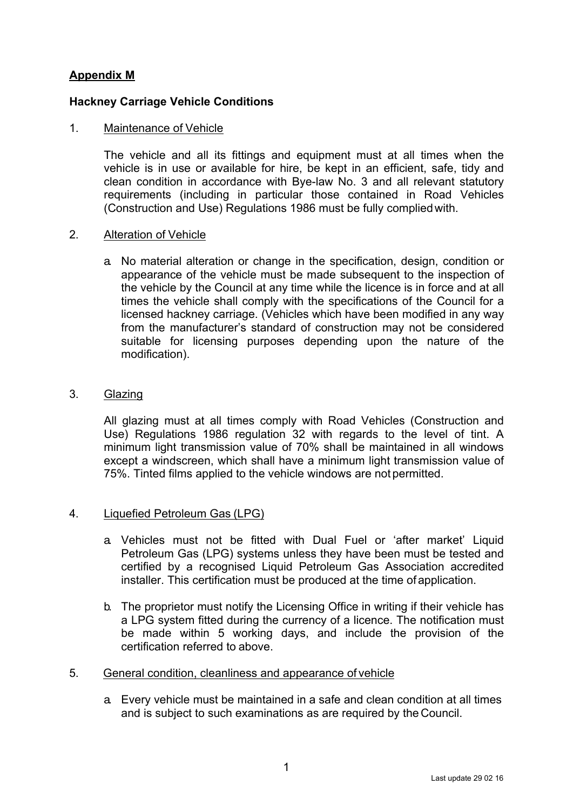# **Appendix M**

# **Hackney Carriage Vehicle Conditions**

### 1. Maintenance of Vehicle

The vehicle and all its fittings and equipment must at all times when the vehicle is in use or available for hire, be kept in an efficient, safe, tidy and clean condition in accordance with Bye-law No. 3 and all relevant statutory requirements (including in particular those contained in Road Vehicles (Construction and Use) Regulations 1986 must be fully compliedwith.

### 2. Alteration of Vehicle

a. No material alteration or change in the specification, design, condition or appearance of the vehicle must be made subsequent to the inspection of the vehicle by the Council at any time while the licence is in force and at all times the vehicle shall comply with the specifications of the Council for a licensed hackney carriage. (Vehicles which have been modified in any way from the manufacturer's standard of construction may not be considered suitable for licensing purposes depending upon the nature of the modification).

## 3. Glazing

All glazing must at all times comply with Road Vehicles (Construction and Use) Regulations 1986 regulation 32 with regards to the level of tint. A minimum light transmission value of 70% shall be maintained in all windows except a windscreen, which shall have a minimum light transmission value of 75%. Tinted films applied to the vehicle windows are not permitted.

## 4. Liquefied Petroleum Gas (LPG)

- a. Vehicles must not be fitted with Dual Fuel or 'after market' Liquid Petroleum Gas (LPG) systems unless they have been must be tested and certified by a recognised Liquid Petroleum Gas Association accredited installer. This certification must be produced at the time of application.
- b. The proprietor must notify the Licensing Office in writing if their vehicle has a LPG system fitted during the currency of a licence. The notification must be made within 5 working days, and include the provision of the certification referred to above.

#### 5. General condition, cleanliness and appearance of vehicle

a. Every vehicle must be maintained in a safe and clean condition at all times and is subject to such examinations as are required by the Council.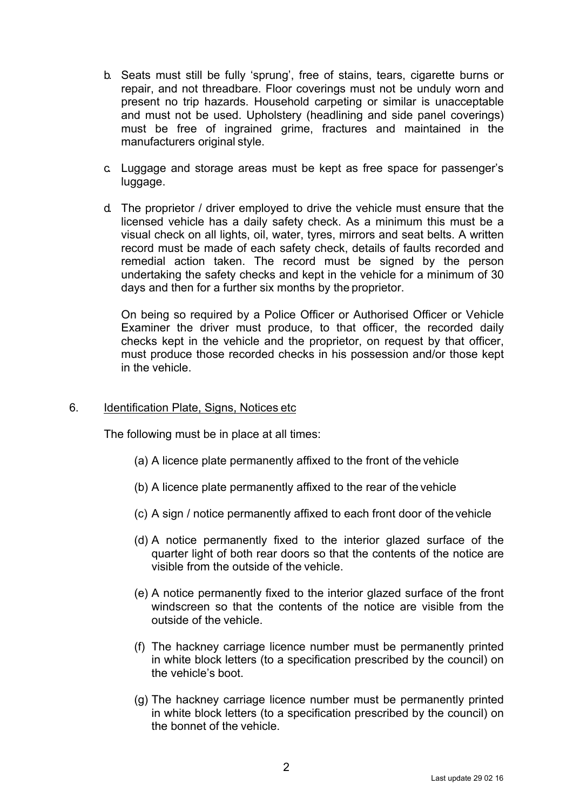- b. Seats must still be fully 'sprung', free of stains, tears, cigarette burns or repair, and not threadbare. Floor coverings must not be unduly worn and present no trip hazards. Household carpeting or similar is unacceptable and must not be used. Upholstery (headlining and side panel coverings) must be free of ingrained grime, fractures and maintained in the manufacturers original style.
- c. Luggage and storage areas must be kept as free space for passenger's luggage.
- d. The proprietor / driver employed to drive the vehicle must ensure that the licensed vehicle has a daily safety check. As a minimum this must be a visual check on all lights, oil, water, tyres, mirrors and seat belts. A written record must be made of each safety check, details of faults recorded and remedial action taken. The record must be signed by the person undertaking the safety checks and kept in the vehicle for a minimum of 30 days and then for a further six months by the proprietor.

On being so required by a Police Officer or Authorised Officer or Vehicle Examiner the driver must produce, to that officer, the recorded daily checks kept in the vehicle and the proprietor, on request by that officer, must produce those recorded checks in his possession and/or those kept in the vehicle.

### 6. Identification Plate, Signs, Notices etc

The following must be in place at all times:

- (a) A licence plate permanently affixed to the front of the vehicle
- (b) A licence plate permanently affixed to the rear of the vehicle
- (c) A sign / notice permanently affixed to each front door of the vehicle
- (d) A notice permanently fixed to the interior glazed surface of the quarter light of both rear doors so that the contents of the notice are visible from the outside of the vehicle.
- (e) A notice permanently fixed to the interior glazed surface of the front windscreen so that the contents of the notice are visible from the outside of the vehicle.
- (f) The hackney carriage licence number must be permanently printed in white block letters (to a specification prescribed by the council) on the vehicle's boot.
- (g) The hackney carriage licence number must be permanently printed in white block letters (to a specification prescribed by the council) on the bonnet of the vehicle.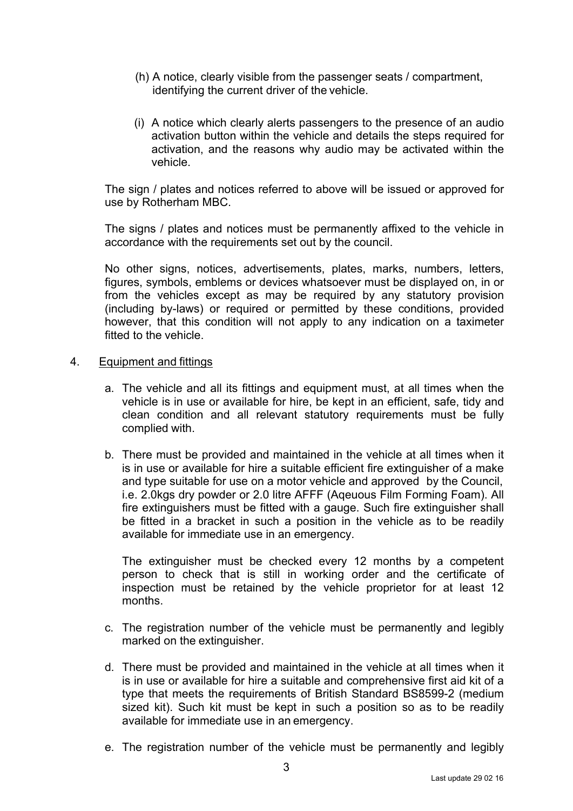- (h) A notice, clearly visible from the passenger seats / compartment, identifying the current driver of the vehicle.
- (i) A notice which clearly alerts passengers to the presence of an audio activation button within the vehicle and details the steps required for activation, and the reasons why audio may be activated within the vehicle.

The sign / plates and notices referred to above will be issued or approved for use by Rotherham MBC.

The signs / plates and notices must be permanently affixed to the vehicle in accordance with the requirements set out by the council.

No other signs, notices, advertisements, plates, marks, numbers, letters, figures, symbols, emblems or devices whatsoever must be displayed on, in or from the vehicles except as may be required by any statutory provision (including by-laws) or required or permitted by these conditions, provided however, that this condition will not apply to any indication on a taximeter fitted to the vehicle.

## 4. Equipment and fittings

- a. The vehicle and all its fittings and equipment must, at all times when the vehicle is in use or available for hire, be kept in an efficient, safe, tidy and clean condition and all relevant statutory requirements must be fully complied with.
- b. There must be provided and maintained in the vehicle at all times when it is in use or available for hire a suitable efficient fire extinguisher of a make and type suitable for use on a motor vehicle and approved by the Council, i.e. 2.0kgs dry powder or 2.0 litre AFFF (Aqeuous Film Forming Foam). All fire extinguishers must be fitted with a gauge. Such fire extinguisher shall be fitted in a bracket in such a position in the vehicle as to be readily available for immediate use in an emergency.

The extinguisher must be checked every 12 months by a competent person to check that is still in working order and the certificate of inspection must be retained by the vehicle proprietor for at least 12 months.

- c. The registration number of the vehicle must be permanently and legibly marked on the extinguisher.
- d. There must be provided and maintained in the vehicle at all times when it is in use or available for hire a suitable and comprehensive first aid kit of a type that meets the requirements of British Standard BS8599-2 (medium sized kit). Such kit must be kept in such a position so as to be readily available for immediate use in an emergency.
- e. The registration number of the vehicle must be permanently and legibly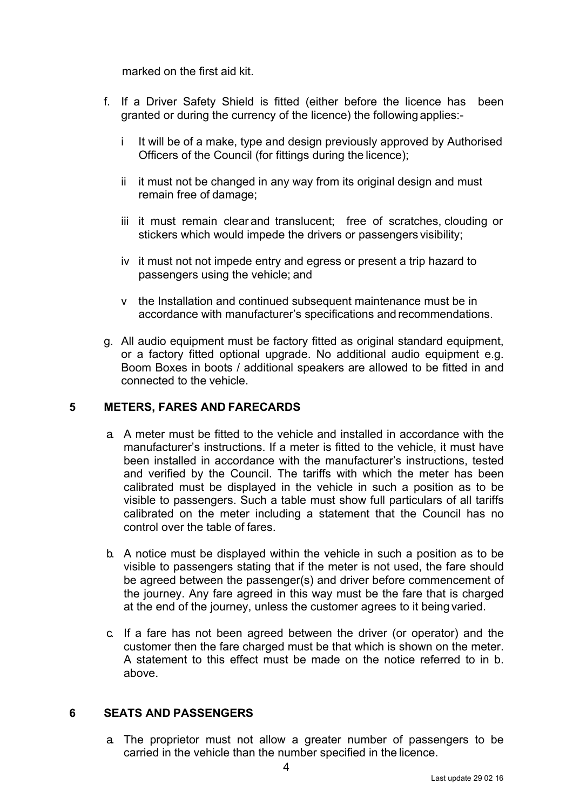marked on the first aid kit.

- f. If a Driver Safety Shield is fitted (either before the licence has been granted or during the currency of the licence) the following applies:
	- i It will be of a make, type and design previously approved by Authorised Officers of the Council (for fittings during the licence);
	- ii it must not be changed in any way from its original design and must remain free of damage;
	- iii it must remain clear and translucent; free of scratches, clouding or stickers which would impede the drivers or passengers visibility;
	- iv it must not not impede entry and egress or present a trip hazard to passengers using the vehicle; and
	- v the Installation and continued subsequent maintenance must be in accordance with manufacturer's specifications and recommendations.
- g. All audio equipment must be factory fitted as original standard equipment, or a factory fitted optional upgrade. No additional audio equipment e.g. Boom Boxes in boots / additional speakers are allowed to be fitted in and connected to the vehicle.

## **5 METERS, FARES AND FARECARDS**

- a. A meter must be fitted to the vehicle and installed in accordance with the manufacturer's instructions. If a meter is fitted to the vehicle, it must have been installed in accordance with the manufacturer's instructions, tested and verified by the Council. The tariffs with which the meter has been calibrated must be displayed in the vehicle in such a position as to be visible to passengers. Such a table must show full particulars of all tariffs calibrated on the meter including a statement that the Council has no control over the table of fares.
- b. A notice must be displayed within the vehicle in such a position as to be visible to passengers stating that if the meter is not used, the fare should be agreed between the passenger(s) and driver before commencement of the journey. Any fare agreed in this way must be the fare that is charged at the end of the journey, unless the customer agrees to it being varied.
- c. If a fare has not been agreed between the driver (or operator) and the customer then the fare charged must be that which is shown on the meter. A statement to this effect must be made on the notice referred to in b. above.

## **6 SEATS AND PASSENGERS**

a. The proprietor must not allow a greater number of passengers to be carried in the vehicle than the number specified in the licence.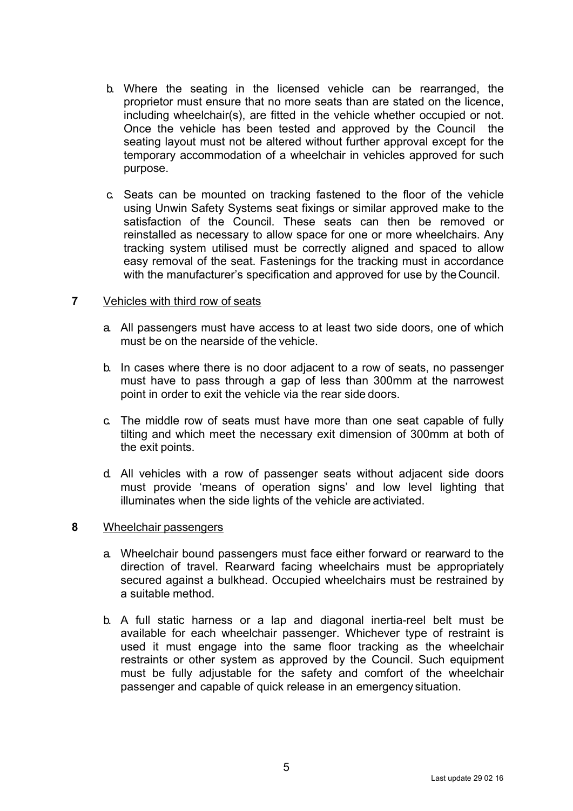- b. Where the seating in the licensed vehicle can be rearranged, the proprietor must ensure that no more seats than are stated on the licence, including wheelchair(s), are fitted in the vehicle whether occupied or not. Once the vehicle has been tested and approved by the Council the seating layout must not be altered without further approval except for the temporary accommodation of a wheelchair in vehicles approved for such purpose.
- c. Seats can be mounted on tracking fastened to the floor of the vehicle using Unwin Safety Systems seat fixings or similar approved make to the satisfaction of the Council. These seats can then be removed or reinstalled as necessary to allow space for one or more wheelchairs. Any tracking system utilised must be correctly aligned and spaced to allow easy removal of the seat. Fastenings for the tracking must in accordance with the manufacturer's specification and approved for use by the Council.

### **7** Vehicles with third row of seats

- a. All passengers must have access to at least two side doors, one of which must be on the nearside of the vehicle.
- b. In cases where there is no door adjacent to a row of seats, no passenger must have to pass through a gap of less than 300mm at the narrowest point in order to exit the vehicle via the rear side doors.
- c. The middle row of seats must have more than one seat capable of fully tilting and which meet the necessary exit dimension of 300mm at both of the exit points.
- d. All vehicles with a row of passenger seats without adjacent side doors must provide 'means of operation signs' and low level lighting that illuminates when the side lights of the vehicle are activiated.

#### **8** Wheelchair passengers

- a. Wheelchair bound passengers must face either forward or rearward to the direction of travel. Rearward facing wheelchairs must be appropriately secured against a bulkhead. Occupied wheelchairs must be restrained by a suitable method.
- b. A full static harness or a lap and diagonal inertia-reel belt must be available for each wheelchair passenger. Whichever type of restraint is used it must engage into the same floor tracking as the wheelchair restraints or other system as approved by the Council. Such equipment must be fully adjustable for the safety and comfort of the wheelchair passenger and capable of quick release in an emergency situation.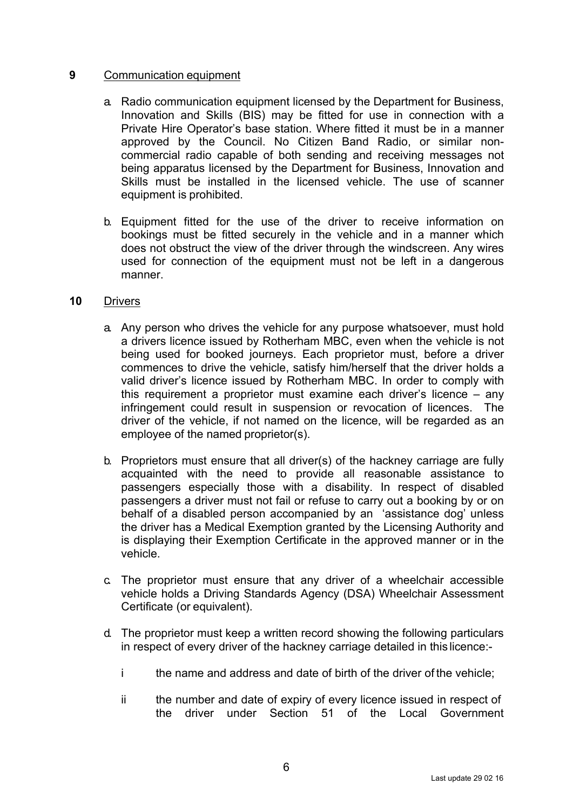## **9** Communication equipment

- a. Radio communication equipment licensed by the Department for Business, Innovation and Skills (BIS) may be fitted for use in connection with a Private Hire Operator's base station. Where fitted it must be in a manner approved by the Council. No Citizen Band Radio, or similar noncommercial radio capable of both sending and receiving messages not being apparatus licensed by the Department for Business, Innovation and Skills must be installed in the licensed vehicle. The use of scanner equipment is prohibited.
- b. Equipment fitted for the use of the driver to receive information on bookings must be fitted securely in the vehicle and in a manner which does not obstruct the view of the driver through the windscreen. Any wires used for connection of the equipment must not be left in a dangerous manner.

## **10** Drivers

- a. Any person who drives the vehicle for any purpose whatsoever, must hold a drivers licence issued by Rotherham MBC, even when the vehicle is not being used for booked journeys. Each proprietor must, before a driver commences to drive the vehicle, satisfy him/herself that the driver holds a valid driver's licence issued by Rotherham MBC. In order to comply with this requirement a proprietor must examine each driver's licence – any infringement could result in suspension or revocation of licences. The driver of the vehicle, if not named on the licence, will be regarded as an employee of the named proprietor(s).
- b. Proprietors must ensure that all driver(s) of the hackney carriage are fully acquainted with the need to provide all reasonable assistance to passengers especially those with a disability. In respect of disabled passengers a driver must not fail or refuse to carry out a booking by or on behalf of a disabled person accompanied by an 'assistance dog' unless the driver has a Medical Exemption granted by the Licensing Authority and is displaying their Exemption Certificate in the approved manner or in the vehicle.
- c. The proprietor must ensure that any driver of a wheelchair accessible vehicle holds a Driving Standards Agency (DSA) Wheelchair Assessment Certificate (or equivalent).
- d. The proprietor must keep a written record showing the following particulars in respect of every driver of the hackney carriage detailed in this licence:
	- i the name and address and date of birth of the driver of the vehicle;
	- ii the number and date of expiry of every licence issued in respect of the driver under Section 51 of the Local Government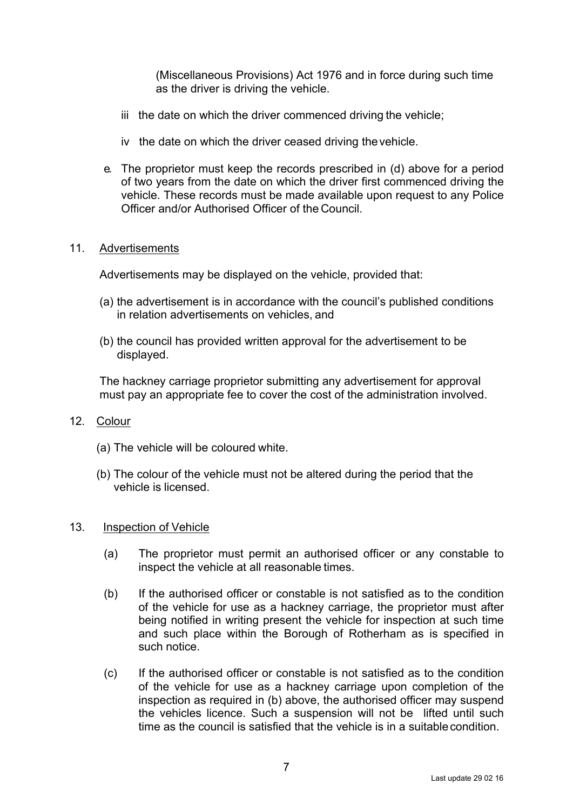(Miscellaneous Provisions) Act 1976 and in force during such time as the driver is driving the vehicle.

- iii the date on which the driver commenced driving the vehicle;
- iv the date on which the driver ceased driving thevehicle.
- e. The proprietor must keep the records prescribed in (d) above for a period of two years from the date on which the driver first commenced driving the vehicle. These records must be made available upon request to any Police Officer and/or Authorised Officer of the Council.

### 11. Advertisements

Advertisements may be displayed on the vehicle, provided that:

- (a) the advertisement is in accordance with the council's published conditions in relation advertisements on vehicles, and
- (b) the council has provided written approval for the advertisement to be displayed.

The hackney carriage proprietor submitting any advertisement for approval must pay an appropriate fee to cover the cost of the administration involved.

- 12. Colour
	- (a) The vehicle will be coloured white.
	- (b) The colour of the vehicle must not be altered during the period that the vehicle is licensed.

#### 13. Inspection of Vehicle

- (a) The proprietor must permit an authorised officer or any constable to inspect the vehicle at all reasonable times.
- (b) If the authorised officer or constable is not satisfied as to the condition of the vehicle for use as a hackney carriage, the proprietor must after being notified in writing present the vehicle for inspection at such time and such place within the Borough of Rotherham as is specified in such notice.
- (c) If the authorised officer or constable is not satisfied as to the condition of the vehicle for use as a hackney carriage upon completion of the inspection as required in (b) above, the authorised officer may suspend the vehicles licence. Such a suspension will not be lifted until such time as the council is satisfied that the vehicle is in a suitablecondition.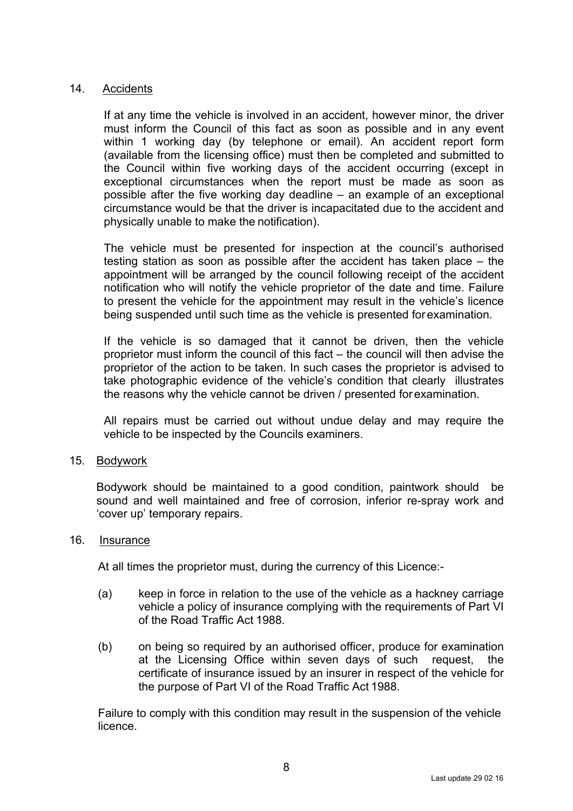## 14. Accidents

If at any time the vehicle is involved in an accident, however minor, the driver must inform the Council of this fact as soon as possible and in any event within 1 working day (by telephone or email). An accident report form (available from the licensing office) must then be completed and submitted to the Council within five working days of the accident occurring (except in exceptional circumstances when the report must be made as soon as possible after the five working day deadline – an example of an exceptional circumstance would be that the driver is incapacitated due to the accident and physically unable to make the notification).

The vehicle must be presented for inspection at the council's authorised testing station as soon as possible after the accident has taken place – the appointment will be arranged by the council following receipt of the accident notification who will notify the vehicle proprietor of the date and time. Failure to present the vehicle for the appointment may result in the vehicle's licence being suspended until such time as the vehicle is presented forexamination.

If the vehicle is so damaged that it cannot be driven, then the vehicle proprietor must inform the council of this fact – the council will then advise the proprietor of the action to be taken. In such cases the proprietor is advised to take photographic evidence of the vehicle's condition that clearly illustrates the reasons why the vehicle cannot be driven / presented for examination.

All repairs must be carried out without undue delay and may require the vehicle to be inspected by the Councils examiners.

#### 15. Bodywork

Bodywork should be maintained to a good condition, paintwork should be sound and well maintained and free of corrosion, inferior re-spray work and 'cover up' temporary repairs.

#### 16. Insurance

At all times the proprietor must, during the currency of this Licence:-

- (a) keep in force in relation to the use of the vehicle as a hackney carriage vehicle a policy of insurance complying with the requirements of Part VI of the Road Traffic Act 1988.
- (b) on being so required by an authorised officer, produce for examination at the Licensing Office within seven days of such request, the certificate of insurance issued by an insurer in respect of the vehicle for the purpose of Part VI of the Road Traffic Act 1988.

Failure to comply with this condition may result in the suspension of the vehicle licence.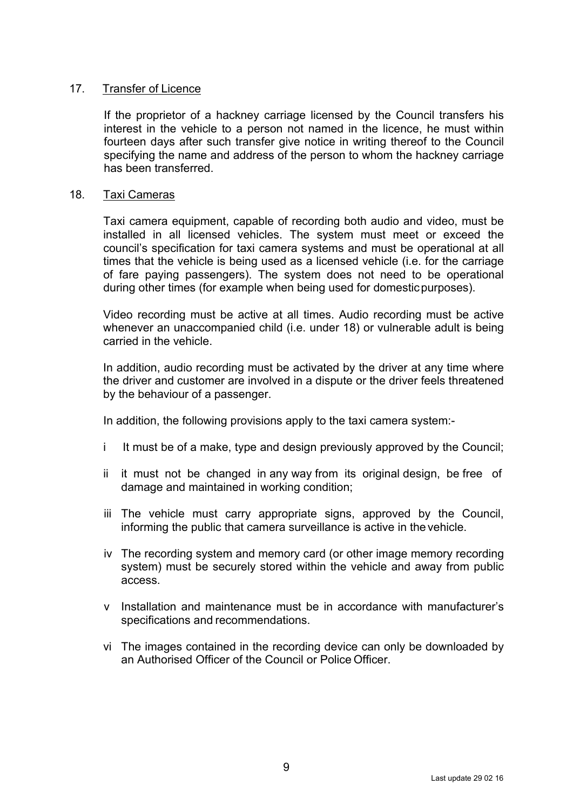## 17. Transfer of Licence

If the proprietor of a hackney carriage licensed by the Council transfers his interest in the vehicle to a person not named in the licence, he must within fourteen days after such transfer give notice in writing thereof to the Council specifying the name and address of the person to whom the hackney carriage has been transferred.

### 18. Taxi Cameras

Taxi camera equipment, capable of recording both audio and video, must be installed in all licensed vehicles. The system must meet or exceed the council's specification for taxi camera systems and must be operational at all times that the vehicle is being used as a licensed vehicle (i.e. for the carriage of fare paying passengers). The system does not need to be operational during other times (for example when being used for domesticpurposes).

Video recording must be active at all times. Audio recording must be active whenever an unaccompanied child (i.e. under 18) or vulnerable adult is being carried in the vehicle.

In addition, audio recording must be activated by the driver at any time where the driver and customer are involved in a dispute or the driver feels threatened by the behaviour of a passenger.

In addition, the following provisions apply to the taxi camera system:-

- i It must be of a make, type and design previously approved by the Council;
- ii it must not be changed in any way from its original design, be free of damage and maintained in working condition;
- iii The vehicle must carry appropriate signs, approved by the Council, informing the public that camera surveillance is active in the vehicle.
- iv The recording system and memory card (or other image memory recording system) must be securely stored within the vehicle and away from public access.
- v Installation and maintenance must be in accordance with manufacturer's specifications and recommendations.
- vi The images contained in the recording device can only be downloaded by an Authorised Officer of the Council or Police Officer.